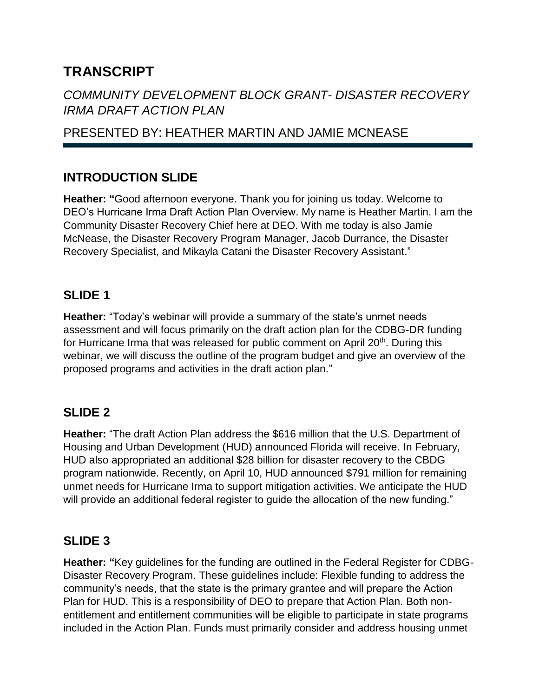# **TRANSCRIPT**

# *COMMUNITY DEVELOPMENT BLOCK GRANT- DISASTER RECOVERY IRMA DRAFT ACTION PLAN*

# PRESENTED BY: HEATHER MARTIN AND JAMIE MCNEASE

# **INTRODUCTION SLIDE**

**Heather: "**Good afternoon everyone. Thank you for joining us today. Welcome to DEO's Hurricane Irma Draft Action Plan Overview. My name is Heather Martin. I am the Community Disaster Recovery Chief here at DEO. With me today is also Jamie McNease, the Disaster Recovery Program Manager, Jacob Durrance, the Disaster Recovery Specialist, and Mikayla Catani the Disaster Recovery Assistant."

## **SLIDE 1**

**Heather:** "Today's webinar will provide a summary of the state's unmet needs assessment and will focus primarily on the draft action plan for the CDBG-DR funding for Hurricane Irma that was released for public comment on April 20<sup>th</sup>. During this webinar, we will discuss the outline of the program budget and give an overview of the proposed programs and activities in the draft action plan."

## **SLIDE 2**

**Heather:** "The draft Action Plan address the \$616 million that the U.S. Department of Housing and Urban Development (HUD) announced Florida will receive. In February, HUD also appropriated an additional \$28 billion for disaster recovery to the CBDG program nationwide. Recently, on April 10, HUD announced \$791 million for remaining unmet needs for Hurricane Irma to support mitigation activities. We anticipate the HUD will provide an additional federal register to guide the allocation of the new funding."

## **SLIDE 3**

**Heather: "**Key guidelines for the funding are outlined in the Federal Register for CDBG-Disaster Recovery Program. These guidelines include: Flexible funding to address the community's needs, that the state is the primary grantee and will prepare the Action Plan for HUD. This is a responsibility of DEO to prepare that Action Plan. Both nonentitlement and entitlement communities will be eligible to participate in state programs included in the Action Plan. Funds must primarily consider and address housing unmet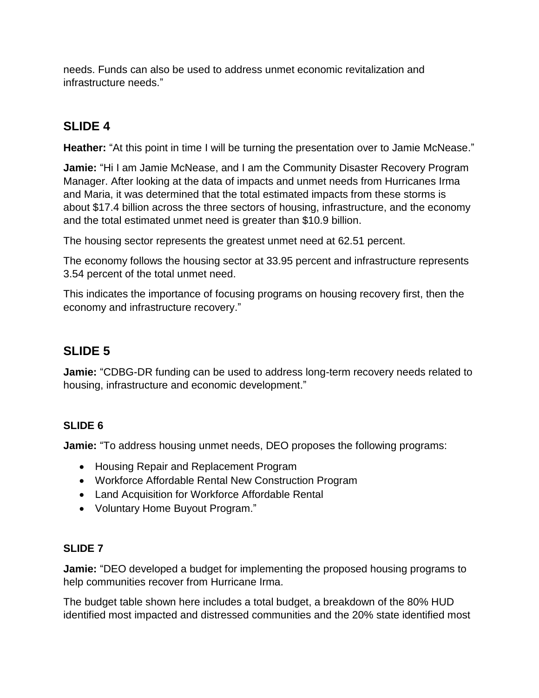needs. Funds can also be used to address unmet economic revitalization and infrastructure needs."

# **SLIDE 4**

**Heather:** "At this point in time I will be turning the presentation over to Jamie McNease."

**Jamie:** "Hi I am Jamie McNease, and I am the Community Disaster Recovery Program Manager. After looking at the data of impacts and unmet needs from Hurricanes Irma and Maria, it was determined that the total estimated impacts from these storms is about \$17.4 billion across the three sectors of housing, infrastructure, and the economy and the total estimated unmet need is greater than \$10.9 billion.

The housing sector represents the greatest unmet need at 62.51 percent.

The economy follows the housing sector at 33.95 percent and infrastructure represents 3.54 percent of the total unmet need.

This indicates the importance of focusing programs on housing recovery first, then the economy and infrastructure recovery."

# **SLIDE 5**

**Jamie:** "CDBG-DR funding can be used to address long-term recovery needs related to housing, infrastructure and economic development."

### **SLIDE 6**

**Jamie:** "To address housing unmet needs, DEO proposes the following programs:

- Housing Repair and Replacement Program
- Workforce Affordable Rental New Construction Program
- Land Acquisition for Workforce Affordable Rental
- Voluntary Home Buyout Program."

### **SLIDE 7**

**Jamie:** "DEO developed a budget for implementing the proposed housing programs to help communities recover from Hurricane Irma.

The budget table shown here includes a total budget, a breakdown of the 80% HUD identified most impacted and distressed communities and the 20% state identified most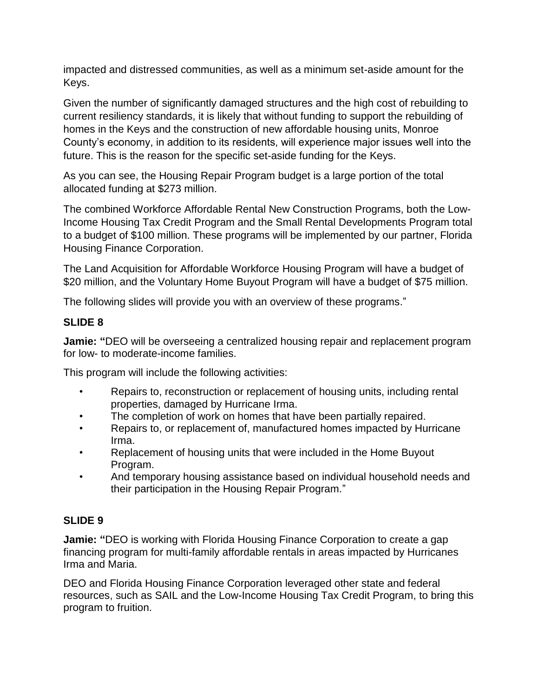impacted and distressed communities, as well as a minimum set-aside amount for the Keys.

Given the number of significantly damaged structures and the high cost of rebuilding to current resiliency standards, it is likely that without funding to support the rebuilding of homes in the Keys and the construction of new affordable housing units, Monroe County's economy, in addition to its residents, will experience major issues well into the future. This is the reason for the specific set-aside funding for the Keys.

As you can see, the Housing Repair Program budget is a large portion of the total allocated funding at \$273 million.

The combined Workforce Affordable Rental New Construction Programs, both the Low-Income Housing Tax Credit Program and the Small Rental Developments Program total to a budget of \$100 million. These programs will be implemented by our partner, Florida Housing Finance Corporation.

The Land Acquisition for Affordable Workforce Housing Program will have a budget of \$20 million, and the Voluntary Home Buyout Program will have a budget of \$75 million.

The following slides will provide you with an overview of these programs."

### **SLIDE 8**

**Jamie: "**DEO will be overseeing a centralized housing repair and replacement program for low- to moderate-income families.

This program will include the following activities:

- Repairs to, reconstruction or replacement of housing units, including rental properties, damaged by Hurricane Irma.
- The completion of work on homes that have been partially repaired.
- Repairs to, or replacement of, manufactured homes impacted by Hurricane Irma.
- Replacement of housing units that were included in the Home Buyout Program.
- And temporary housing assistance based on individual household needs and their participation in the Housing Repair Program."

### **SLIDE 9**

**Jamie: "**DEO is working with Florida Housing Finance Corporation to create a gap financing program for multi-family affordable rentals in areas impacted by Hurricanes Irma and Maria.

DEO and Florida Housing Finance Corporation leveraged other state and federal resources, such as SAIL and the Low-Income Housing Tax Credit Program, to bring this program to fruition.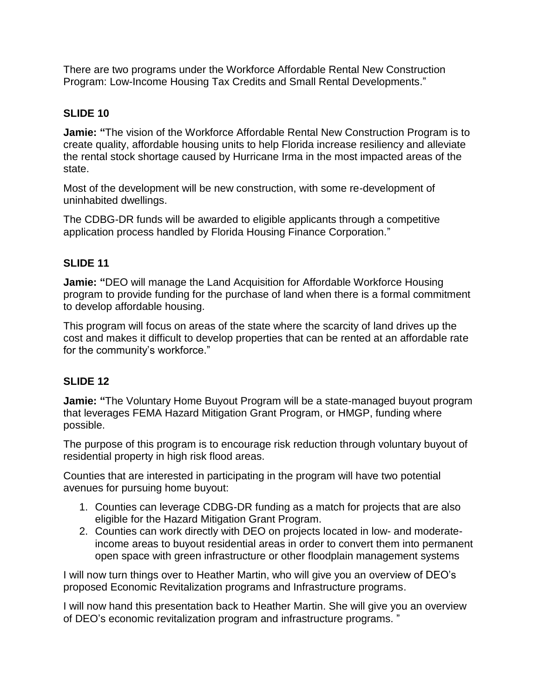There are two programs under the Workforce Affordable Rental New Construction Program: Low-Income Housing Tax Credits and Small Rental Developments."

#### **SLIDE 10**

**Jamie: "**The vision of the Workforce Affordable Rental New Construction Program is to create quality, affordable housing units to help Florida increase resiliency and alleviate the rental stock shortage caused by Hurricane Irma in the most impacted areas of the state.

Most of the development will be new construction, with some re-development of uninhabited dwellings.

The CDBG-DR funds will be awarded to eligible applicants through a competitive application process handled by Florida Housing Finance Corporation."

#### **SLIDE 11**

**Jamie: "**DEO will manage the Land Acquisition for Affordable Workforce Housing program to provide funding for the purchase of land when there is a formal commitment to develop affordable housing.

This program will focus on areas of the state where the scarcity of land drives up the cost and makes it difficult to develop properties that can be rented at an affordable rate for the community's workforce."

#### **SLIDE 12**

**Jamie: "**The Voluntary Home Buyout Program will be a state-managed buyout program that leverages FEMA Hazard Mitigation Grant Program, or HMGP, funding where possible.

The purpose of this program is to encourage risk reduction through voluntary buyout of residential property in high risk flood areas.

Counties that are interested in participating in the program will have two potential avenues for pursuing home buyout:

- 1. Counties can leverage CDBG-DR funding as a match for projects that are also eligible for the Hazard Mitigation Grant Program.
- 2. Counties can work directly with DEO on projects located in low- and moderateincome areas to buyout residential areas in order to convert them into permanent open space with green infrastructure or other floodplain management systems

I will now turn things over to Heather Martin, who will give you an overview of DEO's proposed Economic Revitalization programs and Infrastructure programs.

I will now hand this presentation back to Heather Martin. She will give you an overview of DEO's economic revitalization program and infrastructure programs. "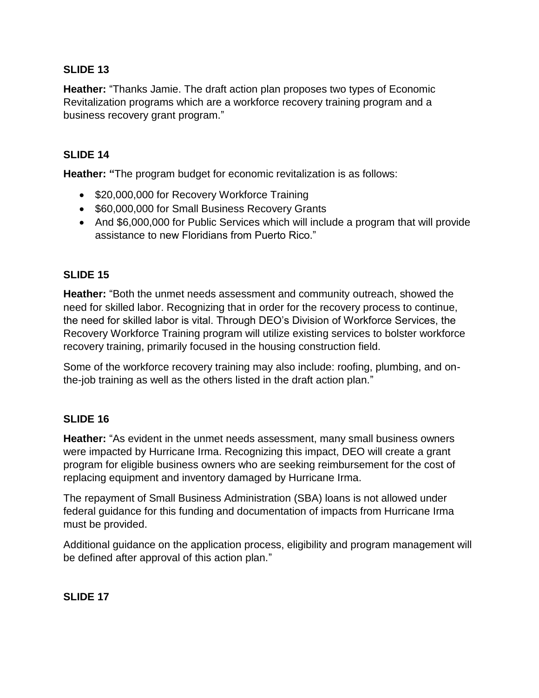#### **SLIDE 13**

**Heather:** "Thanks Jamie. The draft action plan proposes two types of Economic Revitalization programs which are a workforce recovery training program and a business recovery grant program."

#### **SLIDE 14**

**Heather: "**The program budget for economic revitalization is as follows:

- \$20,000,000 for Recovery Workforce Training
- \$60,000,000 for Small Business Recovery Grants
- And \$6,000,000 for Public Services which will include a program that will provide assistance to new Floridians from Puerto Rico."

#### **SLIDE 15**

**Heather:** "Both the unmet needs assessment and community outreach, showed the need for skilled labor. Recognizing that in order for the recovery process to continue, the need for skilled labor is vital. Through DEO's Division of Workforce Services, the Recovery Workforce Training program will utilize existing services to bolster workforce recovery training, primarily focused in the housing construction field.

Some of the workforce recovery training may also include: roofing, plumbing, and onthe-job training as well as the others listed in the draft action plan."

#### **SLIDE 16**

**Heather:** "As evident in the unmet needs assessment, many small business owners were impacted by Hurricane Irma. Recognizing this impact, DEO will create a grant program for eligible business owners who are seeking reimbursement for the cost of replacing equipment and inventory damaged by Hurricane Irma.

The repayment of Small Business Administration (SBA) loans is not allowed under federal guidance for this funding and documentation of impacts from Hurricane Irma must be provided.

Additional guidance on the application process, eligibility and program management will be defined after approval of this action plan."

**SLIDE 17**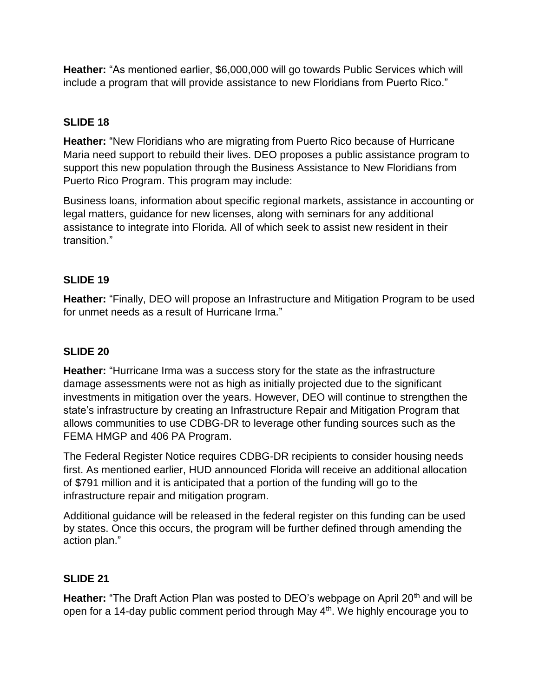**Heather:** "As mentioned earlier, \$6,000,000 will go towards Public Services which will include a program that will provide assistance to new Floridians from Puerto Rico."

### **SLIDE 18**

**Heather:** "New Floridians who are migrating from Puerto Rico because of Hurricane Maria need support to rebuild their lives. DEO proposes a public assistance program to support this new population through the Business Assistance to New Floridians from Puerto Rico Program. This program may include:

Business loans, information about specific regional markets, assistance in accounting or legal matters, guidance for new licenses, along with seminars for any additional assistance to integrate into Florida. All of which seek to assist new resident in their transition."

#### **SLIDE 19**

**Heather:** "Finally, DEO will propose an Infrastructure and Mitigation Program to be used for unmet needs as a result of Hurricane Irma."

#### **SLIDE 20**

**Heather:** "Hurricane Irma was a success story for the state as the infrastructure damage assessments were not as high as initially projected due to the significant investments in mitigation over the years. However, DEO will continue to strengthen the state's infrastructure by creating an Infrastructure Repair and Mitigation Program that allows communities to use CDBG-DR to leverage other funding sources such as the FEMA HMGP and 406 PA Program.

The Federal Register Notice requires CDBG-DR recipients to consider housing needs first. As mentioned earlier, HUD announced Florida will receive an additional allocation of \$791 million and it is anticipated that a portion of the funding will go to the infrastructure repair and mitigation program.

Additional guidance will be released in the federal register on this funding can be used by states. Once this occurs, the program will be further defined through amending the action plan."

#### **SLIDE 21**

**Heather:** "The Draft Action Plan was posted to DEO's webpage on April 20<sup>th</sup> and will be open for a 14-day public comment period through May 4th. We highly encourage you to